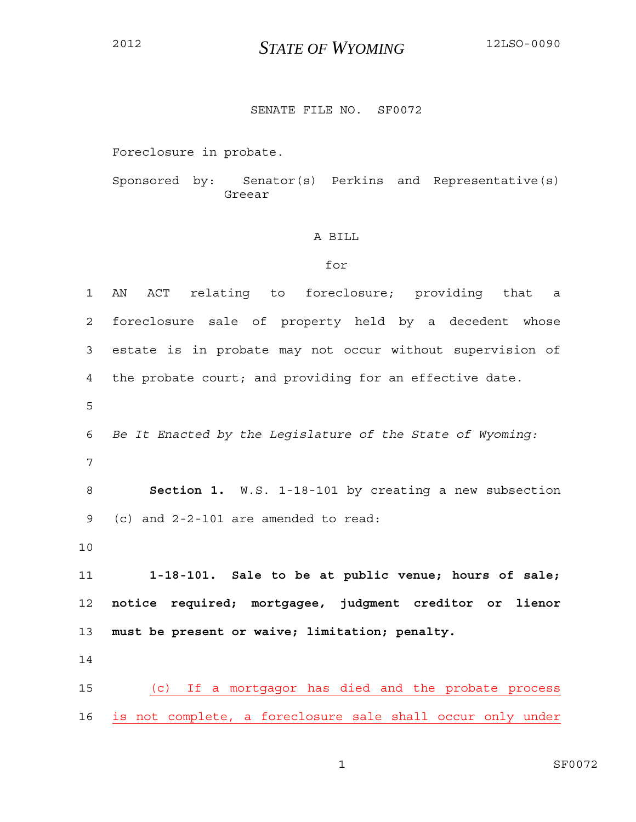## <sup>2012</sup>*STATE OF WYOMING* 12LSO-0090

## SENATE FILE NO. SF0072

Foreclosure in probate.

Sponsored by: Senator(s) Perkins and Representative(s) Greear

## A BILL

## for

| $\mathbf{1}$ | ACT relating to foreclosure; providing that<br>AN<br>a                        |
|--------------|-------------------------------------------------------------------------------|
| 2            | foreclosure sale of property held by a decedent whose                         |
| 3            | estate is in probate may not occur without supervision of                     |
| 4            | the probate court; and providing for an effective date.                       |
| 5            |                                                                               |
| 6            | Be It Enacted by the Legislature of the State of Wyoming:                     |
| 7            |                                                                               |
| 8            | Section 1. W.S. 1-18-101 by creating a new subsection                         |
| 9            | (c) and $2-2-101$ are amended to read:                                        |
| 10           |                                                                               |
| 11           | 1-18-101. Sale to be at public venue; hours of sale;                          |
| 12           | notice required; mortgagee, judgment creditor or lienor                       |
| 13           | must be present or waive; limitation; penalty.                                |
| 14           |                                                                               |
| 15           | If a mortgagor has died and the probate process<br>$\left( \mathrm{c}\right)$ |
| 16           | is not complete, a foreclosure sale shall occur only under                    |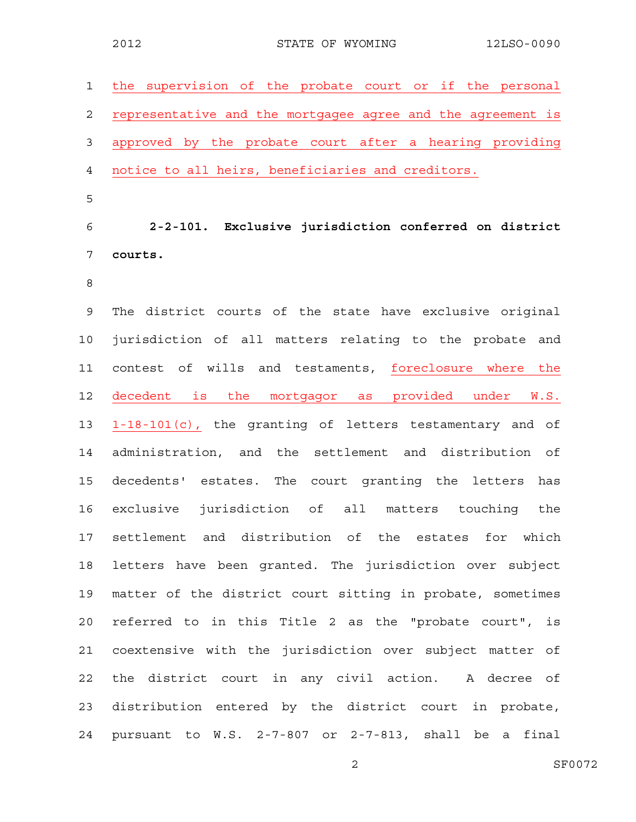| 1              | the supervision of the probate court or if the personal     |
|----------------|-------------------------------------------------------------|
| 2              | representative and the mortgagee agree and the agreement is |
| 3              | approved by the probate court after a hearing providing     |
| $\overline{4}$ | notice to all heirs, beneficiaries and creditors.           |
| 5              |                                                             |
| 6              | 2-2-101. Exclusive jurisdiction conferred on district       |
| 7              | courts.                                                     |
| 8              |                                                             |
| $\mathcal{G}$  | The district courts of the state have exclusive original    |
| 10             | jurisdiction of all matters relating to the probate and     |
| 11             | contest of wills and testaments, foreclosure where the      |
| 12             | decedent is the mortgagor as provided under<br>W.S.         |
| 13             | 1-18-101(c), the granting of letters testamentary and of    |
| 14             | administration, and the settlement and distribution of      |
| 15             | decedents' estates. The court granting the letters<br>has   |
| 16             | exclusive jurisdiction of all matters touching the          |
| 17             | settlement and distribution of the estates for<br>which     |
| 18             | letters have been granted. The jurisdiction over subject    |
| 19             | matter of the district court sitting in probate, sometimes  |
| 20             | referred to in this Title 2 as the "probate court", is      |
| 21             | coextensive with the jurisdiction over subject matter of    |
| 22             | the district court in any civil action. A decree of         |
| 23             | distribution entered by the district court in probate,      |
| 24             | pursuant to W.S. 2-7-807 or 2-7-813, shall be a final       |